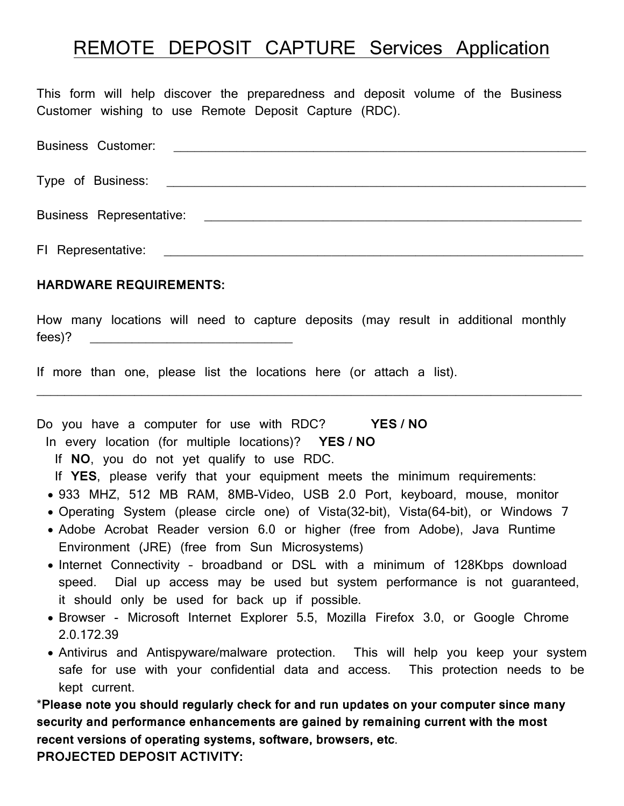## REMOTE DEPOSIT CAPTURE Services Application

This form will help discover the preparedness and deposit volume of the Business Customer wishing to use Remote Deposit Capture (RDC).

| <b>Business Customer:</b> |                                                                                                                                                                                                                                     |
|---------------------------|-------------------------------------------------------------------------------------------------------------------------------------------------------------------------------------------------------------------------------------|
|                           |                                                                                                                                                                                                                                     |
|                           | <b>Business Representative:</b> Note that the set of the set of the set of the set of the set of the set of the set of the set of the set of the set of the set of the set of the set of the set of the set of the set of the set o |
| FI Representative:        | <u> 1989 - Johann Stein, marking and de families and de families and de families and de families and de families</u>                                                                                                                |

## **HARDWARE REQUIREMENTS:**

How many locations will need to capture deposits (may result in additional monthly fees)?

 $\_$ 

If more than one, please list the locations here (or attach a list).

Do you have a computer for use with RDC? **YES / NO**

In every location (for multiple locations)? **YES / NO**

If **NO**, you do not yet qualify to use RDC.

If **YES**, please verify that your equipment meets the minimum requirements:

- 933 MHZ, 512 MB RAM, 8MB-Video, USB 2.0 Port, keyboard, mouse, monitor
- Operating System (please circle one) of Vista(32-bit), Vista(64-bit), or Windows 7
- Adobe Acrobat Reader version 6.0 or higher (free from Adobe), Java Runtime Environment (JRE) (free from Sun Microsystems)
- Internet Connectivity broadband or DSL with a minimum of 128Kbps download speed. Dial up access may be used but system performance is not guaranteed, it should only be used for back up if possible.
- Browser Microsoft Internet Explorer 5.5, Mozilla Firefox 3.0, or Google Chrome 2.0.172.39
- Antivirus and Antispyware/malware protection. This will help you keep your system safe for use with your confidential data and access. This protection needs to be kept current.

\***Please note you should regularly check for and run updates on your computer since many security and performance enhancements are gained by remaining current with the most recent versions of operating systems, software, browsers, etc**.

**PROJECTED DEPOSIT ACTIVITY:**